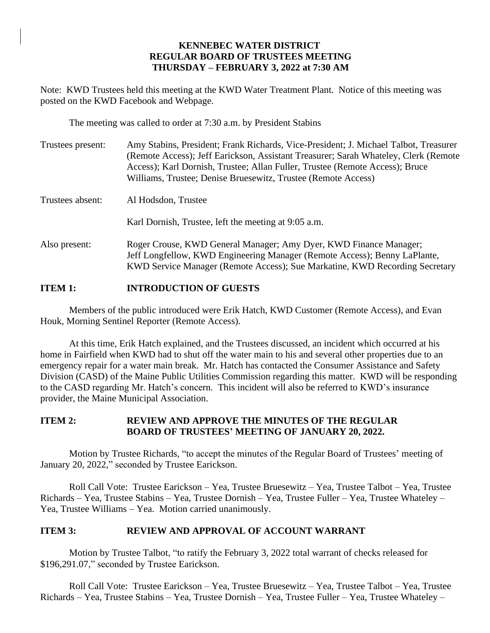# **KENNEBEC WATER DISTRICT REGULAR BOARD OF TRUSTEES MEETING THURSDAY – FEBRUARY 3, 2022 at 7:30 AM**

Note: KWD Trustees held this meeting at the KWD Water Treatment Plant. Notice of this meeting was posted on the KWD Facebook and Webpage.

The meeting was called to order at 7:30 a.m. by President Stabins

| Trustees present: | Amy Stabins, President; Frank Richards, Vice-President; J. Michael Talbot, Treasurer<br>(Remote Access); Jeff Earickson, Assistant Treasurer; Sarah Whateley, Clerk (Remote)<br>Access); Karl Dornish, Trustee; Allan Fuller, Trustee (Remote Access); Bruce<br>Williams, Trustee; Denise Bruesewitz, Trustee (Remote Access) |
|-------------------|-------------------------------------------------------------------------------------------------------------------------------------------------------------------------------------------------------------------------------------------------------------------------------------------------------------------------------|
| Trustees absent:  | Al Hodsdon, Trustee                                                                                                                                                                                                                                                                                                           |
|                   | Karl Dornish, Trustee, left the meeting at 9:05 a.m.                                                                                                                                                                                                                                                                          |
| Also present:     | Roger Crouse, KWD General Manager; Amy Dyer, KWD Finance Manager;<br>Jeff Longfellow, KWD Engineering Manager (Remote Access); Benny LaPlante,<br>KWD Service Manager (Remote Access); Sue Markatine, KWD Recording Secretary                                                                                                 |

# **ITEM 1: INTRODUCTION OF GUESTS**

Members of the public introduced were Erik Hatch, KWD Customer (Remote Access), and Evan Houk, Morning Sentinel Reporter (Remote Access).

At this time, Erik Hatch explained, and the Trustees discussed, an incident which occurred at his home in Fairfield when KWD had to shut off the water main to his and several other properties due to an emergency repair for a water main break. Mr. Hatch has contacted the Consumer Assistance and Safety Division (CASD) of the Maine Public Utilities Commission regarding this matter. KWD will be responding to the CASD regarding Mr. Hatch's concern. This incident will also be referred to KWD's insurance provider, the Maine Municipal Association.

# **ITEM 2: REVIEW AND APPROVE THE MINUTES OF THE REGULAR BOARD OF TRUSTEES' MEETING OF JANUARY 20, 2022.**

Motion by Trustee Richards, "to accept the minutes of the Regular Board of Trustees' meeting of January 20, 2022," seconded by Trustee Earickson.

Roll Call Vote: Trustee Earickson – Yea, Trustee Bruesewitz – Yea, Trustee Talbot – Yea, Trustee Richards – Yea, Trustee Stabins – Yea, Trustee Dornish – Yea, Trustee Fuller – Yea, Trustee Whateley – Yea, Trustee Williams – Yea. Motion carried unanimously.

# **ITEM 3: REVIEW AND APPROVAL OF ACCOUNT WARRANT**

Motion by Trustee Talbot, "to ratify the February 3, 2022 total warrant of checks released for \$196,291.07," seconded by Trustee Earickson.

Roll Call Vote: Trustee Earickson – Yea, Trustee Bruesewitz – Yea, Trustee Talbot – Yea, Trustee Richards – Yea, Trustee Stabins – Yea, Trustee Dornish – Yea, Trustee Fuller – Yea, Trustee Whateley –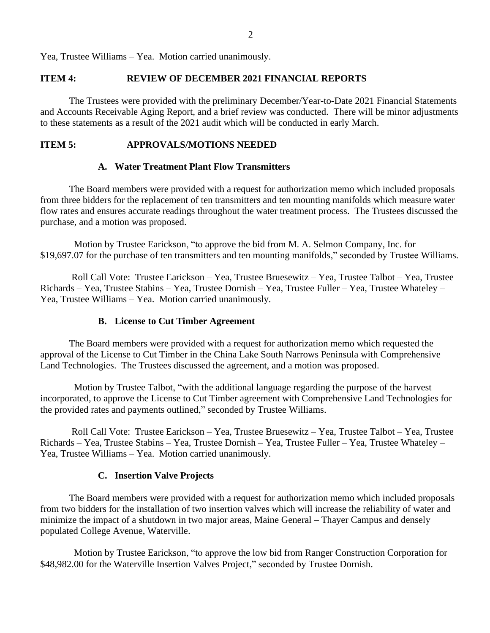Yea, Trustee Williams – Yea. Motion carried unanimously.

# **ITEM 4: REVIEW OF DECEMBER 2021 FINANCIAL REPORTS**

The Trustees were provided with the preliminary December/Year-to-Date 2021 Financial Statements and Accounts Receivable Aging Report, and a brief review was conducted. There will be minor adjustments to these statements as a result of the 2021 audit which will be conducted in early March.

# **ITEM 5: APPROVALS/MOTIONS NEEDED**

## **A. Water Treatment Plant Flow Transmitters**

The Board members were provided with a request for authorization memo which included proposals from three bidders for the replacement of ten transmitters and ten mounting manifolds which measure water flow rates and ensures accurate readings throughout the water treatment process. The Trustees discussed the purchase, and a motion was proposed.

 Motion by Trustee Earickson, "to approve the bid from M. A. Selmon Company, Inc. for \$19,697.07 for the purchase of ten transmitters and ten mounting manifolds," seconded by Trustee Williams.

Roll Call Vote: Trustee Earickson – Yea, Trustee Bruesewitz – Yea, Trustee Talbot – Yea, Trustee Richards – Yea, Trustee Stabins – Yea, Trustee Dornish – Yea, Trustee Fuller – Yea, Trustee Whateley – Yea, Trustee Williams – Yea. Motion carried unanimously.

### **B. License to Cut Timber Agreement**

The Board members were provided with a request for authorization memo which requested the approval of the License to Cut Timber in the China Lake South Narrows Peninsula with Comprehensive Land Technologies. The Trustees discussed the agreement, and a motion was proposed.

 Motion by Trustee Talbot, "with the additional language regarding the purpose of the harvest incorporated, to approve the License to Cut Timber agreement with Comprehensive Land Technologies for the provided rates and payments outlined," seconded by Trustee Williams.

Roll Call Vote: Trustee Earickson – Yea, Trustee Bruesewitz – Yea, Trustee Talbot – Yea, Trustee Richards – Yea, Trustee Stabins – Yea, Trustee Dornish – Yea, Trustee Fuller – Yea, Trustee Whateley – Yea, Trustee Williams – Yea. Motion carried unanimously.

#### **C. Insertion Valve Projects**

The Board members were provided with a request for authorization memo which included proposals from two bidders for the installation of two insertion valves which will increase the reliability of water and minimize the impact of a shutdown in two major areas, Maine General – Thayer Campus and densely populated College Avenue, Waterville.

 Motion by Trustee Earickson, "to approve the low bid from Ranger Construction Corporation for \$48,982.00 for the Waterville Insertion Valves Project," seconded by Trustee Dornish.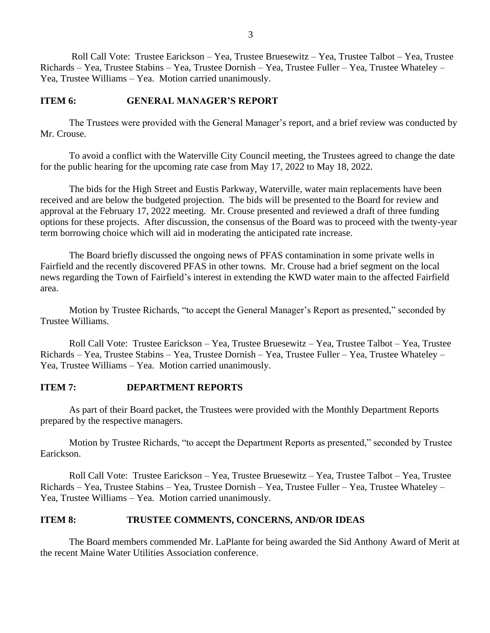Roll Call Vote: Trustee Earickson – Yea, Trustee Bruesewitz – Yea, Trustee Talbot – Yea, Trustee Richards – Yea, Trustee Stabins – Yea, Trustee Dornish – Yea, Trustee Fuller – Yea, Trustee Whateley – Yea, Trustee Williams – Yea. Motion carried unanimously.

# **ITEM 6: GENERAL MANAGER'S REPORT**

The Trustees were provided with the General Manager's report, and a brief review was conducted by Mr. Crouse.

To avoid a conflict with the Waterville City Council meeting, the Trustees agreed to change the date for the public hearing for the upcoming rate case from May 17, 2022 to May 18, 2022.

The bids for the High Street and Eustis Parkway, Waterville, water main replacements have been received and are below the budgeted projection. The bids will be presented to the Board for review and approval at the February 17, 2022 meeting. Mr. Crouse presented and reviewed a draft of three funding options for these projects. After discussion, the consensus of the Board was to proceed with the twenty-year term borrowing choice which will aid in moderating the anticipated rate increase.

The Board briefly discussed the ongoing news of PFAS contamination in some private wells in Fairfield and the recently discovered PFAS in other towns. Mr. Crouse had a brief segment on the local news regarding the Town of Fairfield's interest in extending the KWD water main to the affected Fairfield area.

Motion by Trustee Richards, "to accept the General Manager's Report as presented," seconded by Trustee Williams.

Roll Call Vote: Trustee Earickson – Yea, Trustee Bruesewitz – Yea, Trustee Talbot – Yea, Trustee Richards – Yea, Trustee Stabins – Yea, Trustee Dornish – Yea, Trustee Fuller – Yea, Trustee Whateley – Yea, Trustee Williams – Yea. Motion carried unanimously.

## **ITEM 7: DEPARTMENT REPORTS**

As part of their Board packet, the Trustees were provided with the Monthly Department Reports prepared by the respective managers.

Motion by Trustee Richards, "to accept the Department Reports as presented," seconded by Trustee Earickson.

Roll Call Vote: Trustee Earickson – Yea, Trustee Bruesewitz – Yea, Trustee Talbot – Yea, Trustee Richards – Yea, Trustee Stabins – Yea, Trustee Dornish – Yea, Trustee Fuller – Yea, Trustee Whateley – Yea, Trustee Williams – Yea. Motion carried unanimously.

# **ITEM 8: TRUSTEE COMMENTS, CONCERNS, AND/OR IDEAS**

The Board members commended Mr. LaPlante for being awarded the Sid Anthony Award of Merit at the recent Maine Water Utilities Association conference.